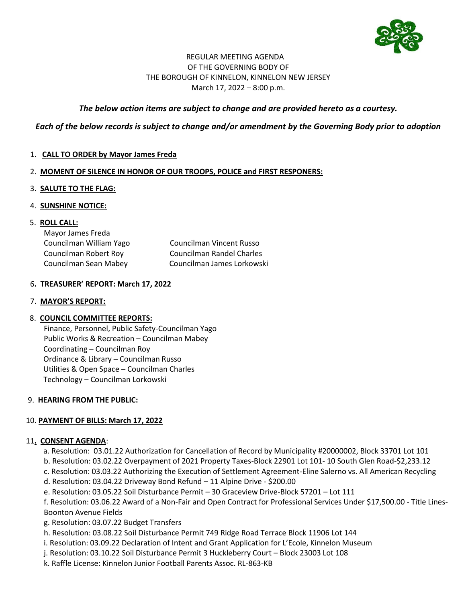

## REGULAR MEETING AGENDA OF THE GOVERNING BODY OF THE BOROUGH OF KINNELON, KINNELON NEW JERSEY March 17, 2022 – 8:00 p.m.

# *The below action items are subject to change and are provided hereto as a courtesy.*

# *Each of the below records is subject to change and/or amendment by the Governing Body prior to adoption*

1. **CALL TO ORDER by Mayor James Freda**

## 2. **MOMENT OF SILENCE IN HONOR OF OUR TROOPS, POLICE and FIRST RESPONERS:**

## 3. **SALUTE TO THE FLAG:**

4. **SUNSHINE NOTICE:** 

## 5. **ROLL CALL:**

| Mayor James Freda       |                                  |
|-------------------------|----------------------------------|
| Councilman William Yago | Councilman Vincent Russo         |
| Councilman Robert Roy   | <b>Councilman Randel Charles</b> |
| Councilman Sean Mabey   | Councilman James Lorkowski       |

## 6**. TREASURER' REPORT: March 17, 2022**

### 7. **MAYOR'S REPORT:**

# 8. **COUNCIL COMMITTEE REPORTS:**

Finance, Personnel, Public Safety-Councilman Yago Public Works & Recreation – Councilman Mabey Coordinating – Councilman Roy Ordinance & Library – Councilman Russo Utilities & Open Space – Councilman Charles Technology – Councilman Lorkowski

#### 9. **HEARING FROM THE PUBLIC:**

# 10. **PAYMENT OF BILLS: March 17, 2022**

#### 11**. CONSENT AGENDA**:

- a. Resolution: 03.01.22 Authorization for Cancellation of Record by Municipality #20000002, Block 33701 Lot 101
- b. Resolution: 03.02.22 Overpayment of 2021 Property Taxes-Block 22901 Lot 101- 10 South Glen Road-\$2,233.12
- c. Resolution: 03.03.22 Authorizing the Execution of Settlement Agreement-Eline Salerno vs. All American Recycling
- d. Resolution: 03.04.22 Driveway Bond Refund 11 Alpine Drive \$200.00
- e. Resolution: 03.05.22 Soil Disturbance Permit 30 Graceview Drive-Block 57201 Lot 111

f. Resolution: 03.06.22 Award of a Non-Fair and Open Contract for Professional Services Under \$17,500.00 - Title Lines-Boonton Avenue Fields

- g. Resolution: 03.07.22 Budget Transfers
- h. Resolution: 03.08.22 Soil Disturbance Permit 749 Ridge Road Terrace Block 11906 Lot 144
- i. Resolution: 03.09.22 Declaration of Intent and Grant Application for L'Ecole, Kinnelon Museum
- j. Resolution: 03.10.22 Soil Disturbance Permit 3 Huckleberry Court Block 23003 Lot 108
- k. Raffle License: Kinnelon Junior Football Parents Assoc. RL-863-KB